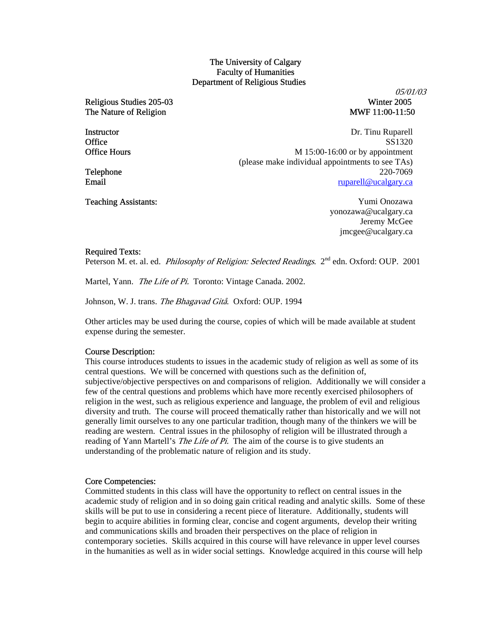## The University of Calgary Faculty of Humanities Department of Religious Studies

Religious Studies 205-03 Winter 2005 The Nature of Religion MWF 11:00-11:50

05/01/03

Instructor Dr. Tinu Ruparell Office SS1320 Office Hours M 15:00-16:00 or by appointment (please make individual appointments to see TAs) Telephone 220-7069 **Email** ruparell@ucalgary.ca

Teaching Assistants: Yumi Onozawa yonozawa@ucalgary.ca Jeremy McGee jmcgee@ucalgary.ca

### Required Texts:

Peterson M. et. al. ed. *Philosophy of Religion: Selected Readings.* 2<sup>nd</sup> edn. Oxford: OUP. 2001

Martel, Yann. The Life of Pi. Toronto: Vintage Canada. 2002.

Johnson, W. J. trans. The Bhagavad Gitå. Oxford: OUP. 1994

Other articles may be used during the course, copies of which will be made available at student expense during the semester.

# Course Description:

This course introduces students to issues in the academic study of religion as well as some of its central questions. We will be concerned with questions such as the definition of, subjective/objective perspectives on and comparisons of religion. Additionally we will consider a few of the central questions and problems which have more recently exercised philosophers of religion in the west, such as religious experience and language, the problem of evil and religious diversity and truth. The course will proceed thematically rather than historically and we will not generally limit ourselves to any one particular tradition, though many of the thinkers we will be reading are western. Central issues in the philosophy of religion will be illustrated through a reading of Yann Martell's *The Life of Pi*. The aim of the course is to give students an understanding of the problematic nature of religion and its study.

# Core Competencies:

Committed students in this class will have the opportunity to reflect on central issues in the academic study of religion and in so doing gain critical reading and analytic skills. Some of these skills will be put to use in considering a recent piece of literature. Additionally, students will begin to acquire abilities in forming clear, concise and cogent arguments, develop their writing and communications skills and broaden their perspectives on the place of religion in contemporary societies. Skills acquired in this course will have relevance in upper level courses in the humanities as well as in wider social settings. Knowledge acquired in this course will help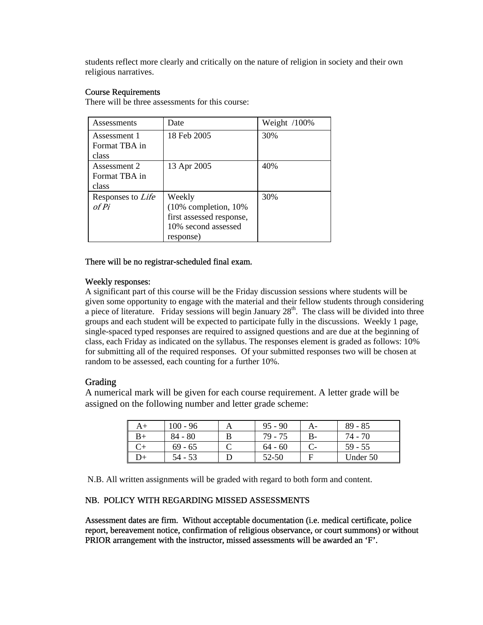students reflect more clearly and critically on the nature of religion in society and their own religious narratives.

## Course Requirements

There will be three assessments for this course:

| Assessments                   | Date                       | Weight /100% |
|-------------------------------|----------------------------|--------------|
| Assessment 1<br>Format TBA in | 18 Feb 2005                | 30%          |
| class                         |                            |              |
| Assessment 2                  | 13 Apr 2005                | 40%          |
| Format TBA in                 |                            |              |
| class                         |                            |              |
| Responses to Life             | Weekly                     | 30%          |
| of Pi                         | $(10\%$ completion, $10\%$ |              |
|                               | first assessed response,   |              |
|                               | 10% second assessed        |              |
|                               | response)                  |              |

### There will be no registrar-scheduled final exam.

### Weekly responses:

A significant part of this course will be the Friday discussion sessions where students will be given some opportunity to engage with the material and their fellow students through considering a piece of literature. Friday sessions will begin January  $28<sup>th</sup>$ . The class will be divided into three groups and each student will be expected to participate fully in the discussions. Weekly 1 page, single-spaced typed responses are required to assigned questions and are due at the beginning of class, each Friday as indicated on the syllabus. The responses element is graded as follows: 10% for submitting all of the required responses. Of your submitted responses two will be chosen at random to be assessed, each counting for a further 10%.

# Grading

A numerical mark will be given for each course requirement. A letter grade will be assigned on the following number and letter grade scheme:

| $100 - 96$ | $95 - 90$ |    | $89 - 85$ |
|------------|-----------|----|-----------|
| $84 - 80$  | 79 - 75   | B- | 74 - 70   |
| $69 - 65$  | $64 - 60$ |    | $59 - 55$ |
| 54 - 53    | 52-50     |    | Under 50  |

N.B. All written assignments will be graded with regard to both form and content.

# NB. POLICY WITH REGARDING MISSED ASSESSMENTS

Assessment dates are firm. Without acceptable documentation (i.e. medical certificate, police report, bereavement notice, confirmation of religious observance, or court summons) or without PRIOR arrangement with the instructor, missed assessments will be awarded an 'F'.